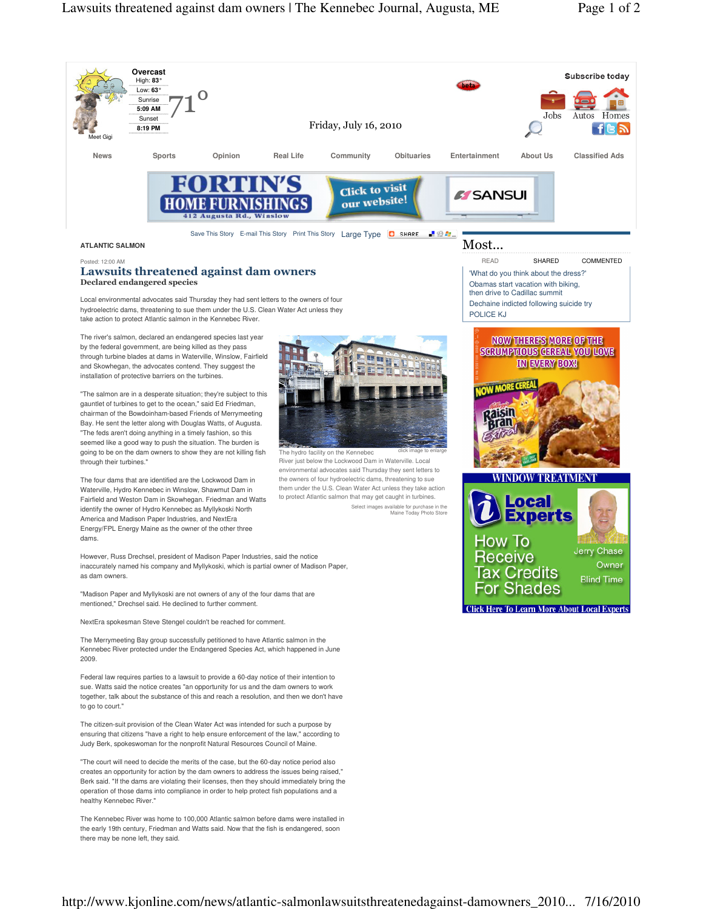

## Posted: 12:00 AM Lawsuits threatened against dam owners Declared endangered species

Local environmental advocates said Thursday they had sent letters to the owners of four hydroelectric dams, threatening to sue them under the U.S. Clean Water Act unless they take action to protect Atlantic salmon in the Kennebec River.

The river's salmon, declared an endangered species last year by the federal government, are being killed as they pass through turbine blades at dams in Waterville, Winslow, Fairfield and Skowhegan, the advocates contend. They suggest the installation of protective barriers on the turbines.

"The salmon are in a desperate situation; they're subject to this gauntlet of turbines to get to the ocean," said Ed Friedman, chairman of the Bowdoinham-based Friends of Merrymeeting Bay. He sent the letter along with Douglas Watts, of Augusta. "The feds aren't doing anything in a timely fashion, so this seemed like a good way to push the situation. The burden is going to be on the dam owners to show they are not killing fish through their turbines."

The four dams that are identified are the Lockwood Dam in Waterville, Hydro Kennebec in Winslow, Shawmut Dam in Fairfield and Weston Dam in Skowhegan. Friedman and Watts identify the owner of Hydro Kennebec as Myllykoski North America and Madison Paper Industries, and NextEra Energy/FPL Energy Maine as the owner of the other three dams.

However, Russ Drechsel, president of Madison Paper Industries, said the notice inaccurately named his company and Myllykoski, which is partial owner of Madison Paper, as dam owners.

"Madison Paper and Myllykoski are not owners of any of the four dams that are mentioned," Drechsel said. He declined to further comment.

NextEra spokesman Steve Stengel couldn't be reached for comment.

The Merrymeeting Bay group successfully petitioned to have Atlantic salmon in the Kennebec River protected under the Endangered Species Act, which happened in June 2009.

Federal law requires parties to a lawsuit to provide a 60-day notice of their intention to sue. Watts said the notice creates "an opportunity for us and the dam owners to work together, talk about the substance of this and reach a resolution, and then we don't have to go to court."

The citizen-suit provision of the Clean Water Act was intended for such a purpose by ensuring that citizens "have a right to help ensure enforcement of the law," according to Judy Berk, spokeswoman for the nonprofit Natural Resources Council of Maine.

"The court will need to decide the merits of the case, but the 60-day notice period also creates an opportunity for action by the dam owners to address the issues being raised," Berk said. "If the dams are violating their licenses, then they should immediately bring the operation of those dams into compliance in order to help protect fish populations and a healthy Kennebec River."

The Kennebec River was home to 100,000 Atlantic salmon before dams were installed in the early 19th century, Friedman and Watts said. Now that the fish is endangered, soon there may be none left, they said.

## The hydro facility on the Kennebec

River just below the Lockwood Dam in Waterville. Local environmental advocates said Thursday they sent letters to the owners of four hydroelectric dams, threatening to sue them under the U.S. Clean Water Act unless they take action to protect Atlantic salmon that may get caught in turbines. Select images available for purchase in the Maine Today Photo Store



READ SHARED COMMENTED 'What do you think about the dress?' Obamas start vacation with biking, then drive to Cadillac summit Dechaine indicted following suicide try POLICE KJ